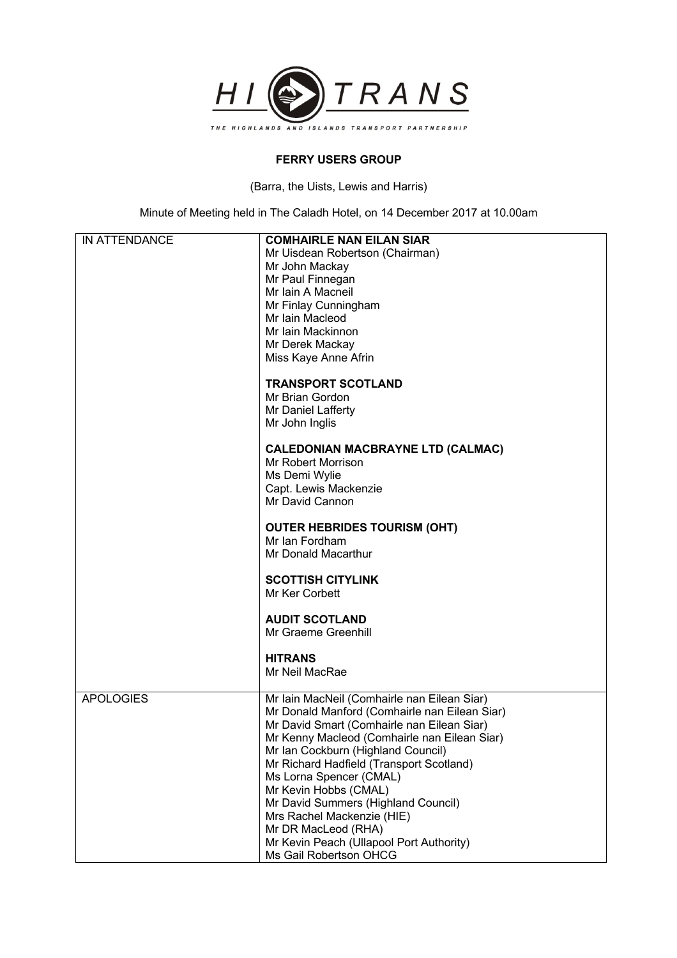

## **FERRY USERS GROUP**

(Barra, the Uists, Lewis and Harris)

Minute of Meeting held in The Caladh Hotel, on 14 December 2017 at 10.00am

| <b>IN ATTENDANCE</b> | <b>COMHAIRLE NAN EILAN SIAR</b>               |
|----------------------|-----------------------------------------------|
|                      | Mr Uisdean Robertson (Chairman)               |
|                      |                                               |
|                      | Mr John Mackay                                |
|                      | Mr Paul Finnegan                              |
|                      | Mr Iain A Macneil                             |
|                      | Mr Finlay Cunningham                          |
|                      | Mr Iain Macleod                               |
|                      | Mr Iain Mackinnon                             |
|                      | Mr Derek Mackay                               |
|                      | Miss Kaye Anne Afrin                          |
|                      |                                               |
|                      | <b>TRANSPORT SCOTLAND</b>                     |
|                      | Mr Brian Gordon                               |
|                      | Mr Daniel Lafferty                            |
|                      |                                               |
|                      | Mr John Inglis                                |
|                      |                                               |
|                      | <b>CALEDONIAN MACBRAYNE LTD (CALMAC)</b>      |
|                      | Mr Robert Morrison                            |
|                      | Ms Demi Wylie                                 |
|                      | Capt. Lewis Mackenzie                         |
|                      | Mr David Cannon                               |
|                      |                                               |
|                      | <b>OUTER HEBRIDES TOURISM (OHT)</b>           |
|                      | Mr Ian Fordham                                |
|                      | Mr Donald Macarthur                           |
|                      |                                               |
|                      | <b>SCOTTISH CITYLINK</b>                      |
|                      | Mr Ker Corbett                                |
|                      |                                               |
|                      | <b>AUDIT SCOTLAND</b>                         |
|                      | Mr Graeme Greenhill                           |
|                      |                                               |
|                      | <b>HITRANS</b>                                |
|                      | Mr Neil MacRae                                |
|                      |                                               |
| <b>APOLOGIES</b>     | Mr Iain MacNeil (Comhairle nan Eilean Siar)   |
|                      | Mr Donald Manford (Comhairle nan Eilean Siar) |
|                      | Mr David Smart (Comhairle nan Eilean Siar)    |
|                      | Mr Kenny Macleod (Comhairle nan Eilean Siar)  |
|                      | Mr Ian Cockburn (Highland Council)            |
|                      | Mr Richard Hadfield (Transport Scotland)      |
|                      |                                               |
|                      | Ms Lorna Spencer (CMAL)                       |
|                      | Mr Kevin Hobbs (CMAL)                         |
|                      | Mr David Summers (Highland Council)           |
|                      | Mrs Rachel Mackenzie (HIE)                    |
|                      | Mr DR MacLeod (RHA)                           |
|                      | Mr Kevin Peach (Ullapool Port Authority)      |
|                      | Ms Gail Robertson OHCG                        |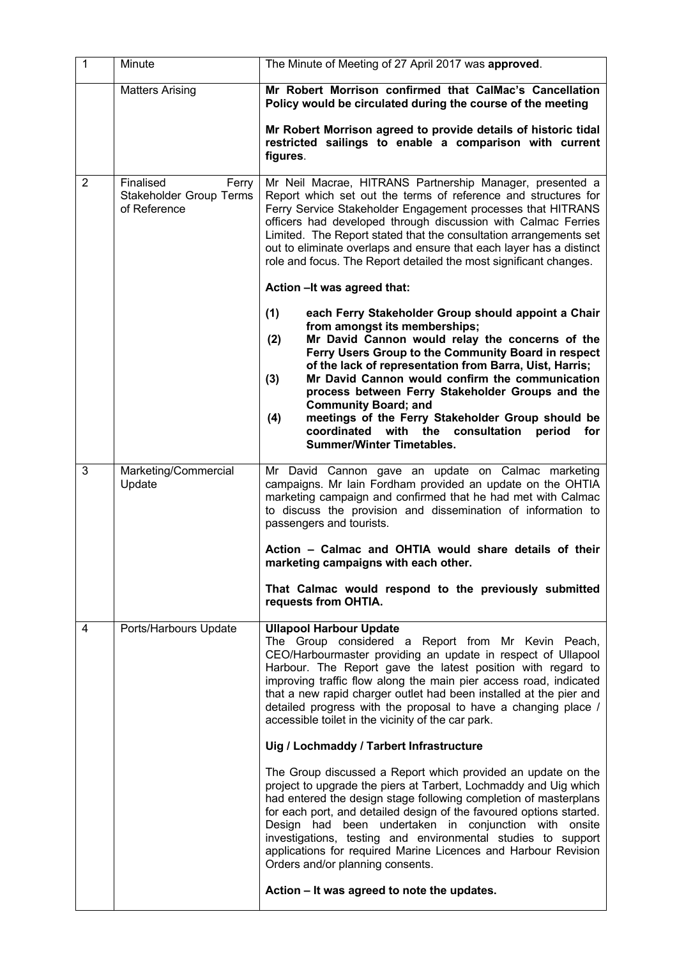| $\mathbf{1}$   | Minute                                                               | The Minute of Meeting of 27 April 2017 was approved.                                                                                                                                                                                                                                                                                                                                                                                                                                                                                                                       |
|----------------|----------------------------------------------------------------------|----------------------------------------------------------------------------------------------------------------------------------------------------------------------------------------------------------------------------------------------------------------------------------------------------------------------------------------------------------------------------------------------------------------------------------------------------------------------------------------------------------------------------------------------------------------------------|
|                | <b>Matters Arising</b>                                               | Mr Robert Morrison confirmed that CalMac's Cancellation<br>Policy would be circulated during the course of the meeting                                                                                                                                                                                                                                                                                                                                                                                                                                                     |
|                |                                                                      | Mr Robert Morrison agreed to provide details of historic tidal<br>restricted sailings to enable a comparison with current<br>figures.                                                                                                                                                                                                                                                                                                                                                                                                                                      |
| $\overline{2}$ | Finalised<br>Ferry<br><b>Stakeholder Group Terms</b><br>of Reference | Mr Neil Macrae, HITRANS Partnership Manager, presented a<br>Report which set out the terms of reference and structures for<br>Ferry Service Stakeholder Engagement processes that HITRANS<br>officers had developed through discussion with Calmac Ferries<br>Limited. The Report stated that the consultation arrangements set<br>out to eliminate overlaps and ensure that each layer has a distinct<br>role and focus. The Report detailed the most significant changes.                                                                                                |
|                |                                                                      | Action - It was agreed that:                                                                                                                                                                                                                                                                                                                                                                                                                                                                                                                                               |
|                |                                                                      | (1)<br>each Ferry Stakeholder Group should appoint a Chair<br>from amongst its memberships;<br>Mr David Cannon would relay the concerns of the<br>(2)<br>Ferry Users Group to the Community Board in respect<br>of the lack of representation from Barra, Uist, Harris;<br>Mr David Cannon would confirm the communication<br>(3)<br>process between Ferry Stakeholder Groups and the<br><b>Community Board; and</b><br>meetings of the Ferry Stakeholder Group should be<br>(4)<br>coordinated<br>with the consultation period<br>for<br><b>Summer/Winter Timetables.</b> |
| 3              | Marketing/Commercial<br>Update                                       | Mr David Cannon gave an update on Calmac marketing<br>campaigns. Mr Iain Fordham provided an update on the OHTIA<br>marketing campaign and confirmed that he had met with Calmac<br>to discuss the provision and dissemination of information to<br>passengers and tourists.                                                                                                                                                                                                                                                                                               |
|                |                                                                      | Action - Calmac and OHTIA would share details of their<br>marketing campaigns with each other.                                                                                                                                                                                                                                                                                                                                                                                                                                                                             |
|                |                                                                      | That Calmac would respond to the previously submitted<br>requests from OHTIA.                                                                                                                                                                                                                                                                                                                                                                                                                                                                                              |
| 4              | Ports/Harbours Update                                                | <b>Ullapool Harbour Update</b><br>The Group considered a Report from Mr Kevin Peach,<br>CEO/Harbourmaster providing an update in respect of Ullapool<br>Harbour. The Report gave the latest position with regard to<br>improving traffic flow along the main pier access road, indicated<br>that a new rapid charger outlet had been installed at the pier and<br>detailed progress with the proposal to have a changing place /<br>accessible toilet in the vicinity of the car park.                                                                                     |
|                |                                                                      | Uig / Lochmaddy / Tarbert Infrastructure                                                                                                                                                                                                                                                                                                                                                                                                                                                                                                                                   |
|                |                                                                      | The Group discussed a Report which provided an update on the<br>project to upgrade the piers at Tarbert, Lochmaddy and Uig which<br>had entered the design stage following completion of masterplans<br>for each port, and detailed design of the favoured options started.<br>Design had been undertaken in conjunction with onsite<br>investigations, testing and environmental studies to support<br>applications for required Marine Licences and Harbour Revision<br>Orders and/or planning consents.                                                                 |
|                |                                                                      | Action - It was agreed to note the updates.                                                                                                                                                                                                                                                                                                                                                                                                                                                                                                                                |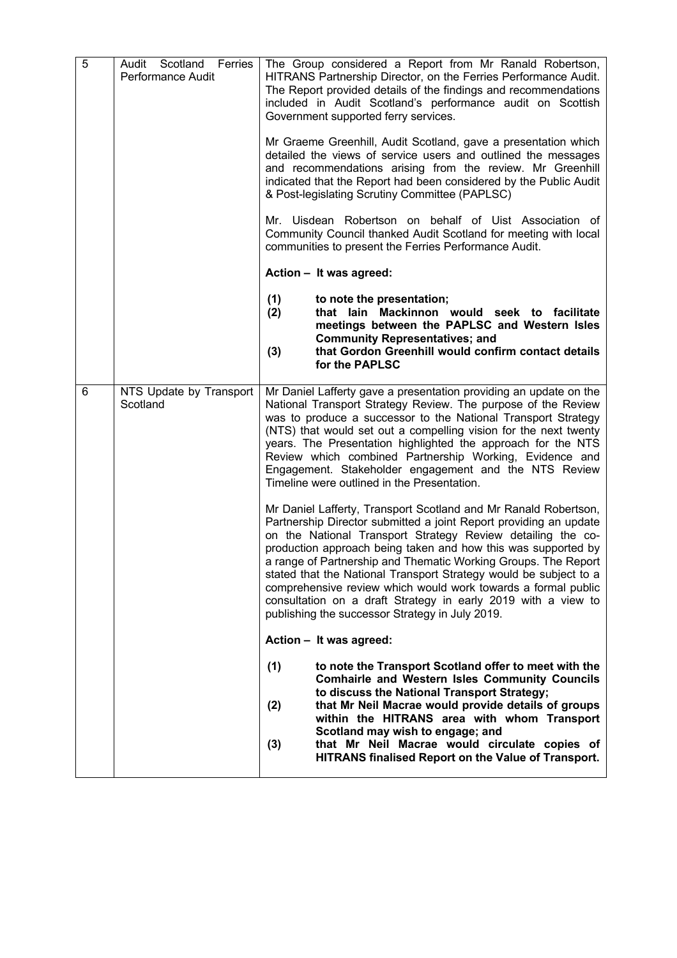| 5 | Audit Scotland Ferries<br>Performance Audit | The Group considered a Report from Mr Ranald Robertson,<br>HITRANS Partnership Director, on the Ferries Performance Audit.<br>The Report provided details of the findings and recommendations<br>included in Audit Scotland's performance audit on Scottish<br>Government supported ferry services.                                                                                                                                                                                                                                                                                              |
|---|---------------------------------------------|--------------------------------------------------------------------------------------------------------------------------------------------------------------------------------------------------------------------------------------------------------------------------------------------------------------------------------------------------------------------------------------------------------------------------------------------------------------------------------------------------------------------------------------------------------------------------------------------------|
|   |                                             | Mr Graeme Greenhill, Audit Scotland, gave a presentation which<br>detailed the views of service users and outlined the messages<br>and recommendations arising from the review. Mr Greenhill<br>indicated that the Report had been considered by the Public Audit<br>& Post-legislating Scrutiny Committee (PAPLSC)                                                                                                                                                                                                                                                                              |
|   |                                             | Mr. Uisdean Robertson on behalf of Uist Association of<br>Community Council thanked Audit Scotland for meeting with local<br>communities to present the Ferries Performance Audit.                                                                                                                                                                                                                                                                                                                                                                                                               |
|   |                                             | Action - It was agreed:                                                                                                                                                                                                                                                                                                                                                                                                                                                                                                                                                                          |
|   |                                             | (1)<br>to note the presentation;<br>(2)<br>that lain Mackinnon would seek to facilitate<br>meetings between the PAPLSC and Western Isles<br><b>Community Representatives; and</b><br>that Gordon Greenhill would confirm contact details<br>(3)<br>for the PAPLSC                                                                                                                                                                                                                                                                                                                                |
| 6 | NTS Update by Transport<br>Scotland         | Mr Daniel Lafferty gave a presentation providing an update on the<br>National Transport Strategy Review. The purpose of the Review<br>was to produce a successor to the National Transport Strategy<br>(NTS) that would set out a compelling vision for the next twenty<br>years. The Presentation highlighted the approach for the NTS<br>Review which combined Partnership Working, Evidence and<br>Engagement. Stakeholder engagement and the NTS Review<br>Timeline were outlined in the Presentation.                                                                                       |
|   |                                             | Mr Daniel Lafferty, Transport Scotland and Mr Ranald Robertson,<br>Partnership Director submitted a joint Report providing an update<br>on the National Transport Strategy Review detailing the co-<br>production approach being taken and how this was supported by<br>a range of Partnership and Thematic Working Groups. The Report<br>stated that the National Transport Strategy would be subject to a<br>comprehensive review which would work towards a formal public<br>consultation on a draft Strategy in early 2019 with a view to<br>publishing the successor Strategy in July 2019. |
|   |                                             | Action - It was agreed:                                                                                                                                                                                                                                                                                                                                                                                                                                                                                                                                                                          |
|   |                                             | (1)<br>to note the Transport Scotland offer to meet with the<br><b>Comhairle and Western Isles Community Councils</b><br>to discuss the National Transport Strategy;<br>that Mr Neil Macrae would provide details of groups<br>(2)<br>within the HITRANS area with whom Transport<br>Scotland may wish to engage; and<br>that Mr Neil Macrae would circulate copies of<br>(3)                                                                                                                                                                                                                    |
|   |                                             | HITRANS finalised Report on the Value of Transport.                                                                                                                                                                                                                                                                                                                                                                                                                                                                                                                                              |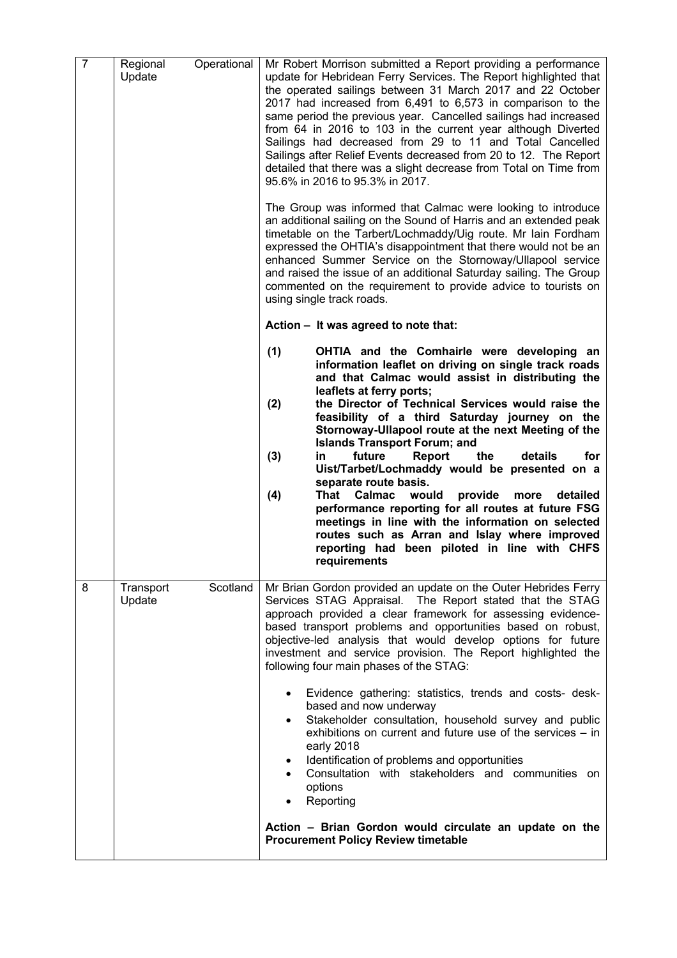| $\overline{7}$ | Regional<br>Update  | Operational | Mr Robert Morrison submitted a Report providing a performance<br>update for Hebridean Ferry Services. The Report highlighted that<br>the operated sailings between 31 March 2017 and 22 October<br>2017 had increased from 6,491 to 6,573 in comparison to the<br>same period the previous year. Cancelled sailings had increased<br>from 64 in 2016 to 103 in the current year although Diverted<br>Sailings had decreased from 29 to 11 and Total Cancelled<br>Sailings after Relief Events decreased from 20 to 12. The Report<br>detailed that there was a slight decrease from Total on Time from<br>95.6% in 2016 to 95.3% in 2017.<br>The Group was informed that Calmac were looking to introduce<br>an additional sailing on the Sound of Harris and an extended peak<br>timetable on the Tarbert/Lochmaddy/Uig route. Mr Iain Fordham<br>expressed the OHTIA's disappointment that there would not be an<br>enhanced Summer Service on the Stornoway/Ullapool service<br>and raised the issue of an additional Saturday sailing. The Group<br>commented on the requirement to provide advice to tourists on<br>using single track roads.<br>Action - It was agreed to note that: |
|----------------|---------------------|-------------|--------------------------------------------------------------------------------------------------------------------------------------------------------------------------------------------------------------------------------------------------------------------------------------------------------------------------------------------------------------------------------------------------------------------------------------------------------------------------------------------------------------------------------------------------------------------------------------------------------------------------------------------------------------------------------------------------------------------------------------------------------------------------------------------------------------------------------------------------------------------------------------------------------------------------------------------------------------------------------------------------------------------------------------------------------------------------------------------------------------------------------------------------------------------------------------------|
|                |                     |             | (1)<br>OHTIA and the Comhairle were developing an<br>information leaflet on driving on single track roads<br>and that Calmac would assist in distributing the<br>leaflets at ferry ports;<br>(2)<br>the Director of Technical Services would raise the<br>feasibility of a third Saturday journey on the<br>Stornoway-Ullapool route at the next Meeting of the<br><b>Islands Transport Forum; and</b><br>the<br>for<br>(3)<br>in.<br>future<br>Report<br>details<br>Uist/Tarbet/Lochmaddy would be presented on a<br>separate route basis.<br>Calmac<br>would<br>provide<br>(4)<br>That<br>detailed<br>more<br>performance reporting for all routes at future FSG<br>meetings in line with the information on selected<br>routes such as Arran and Islay where improved<br>reporting had been piloted in line with CHFS<br>requirements                                                                                                                                                                                                                                                                                                                                                   |
| 8              | Transport<br>Update | Scotland    | Mr Brian Gordon provided an update on the Outer Hebrides Ferry<br>Services STAG Appraisal. The Report stated that the STAG<br>approach provided a clear framework for assessing evidence-<br>based transport problems and opportunities based on robust,<br>objective-led analysis that would develop options for future<br>investment and service provision. The Report highlighted the<br>following four main phases of the STAG:<br>Evidence gathering: statistics, trends and costs- desk-<br>$\bullet$<br>based and now underway<br>Stakeholder consultation, household survey and public<br>$\bullet$<br>exhibitions on current and future use of the services - in<br>early 2018<br>Identification of problems and opportunities<br>$\bullet$<br>Consultation with stakeholders and communities on<br>$\bullet$<br>options<br>Reporting<br>$\bullet$<br>Action – Brian Gordon would circulate an update on the<br><b>Procurement Policy Review timetable</b>                                                                                                                                                                                                                        |